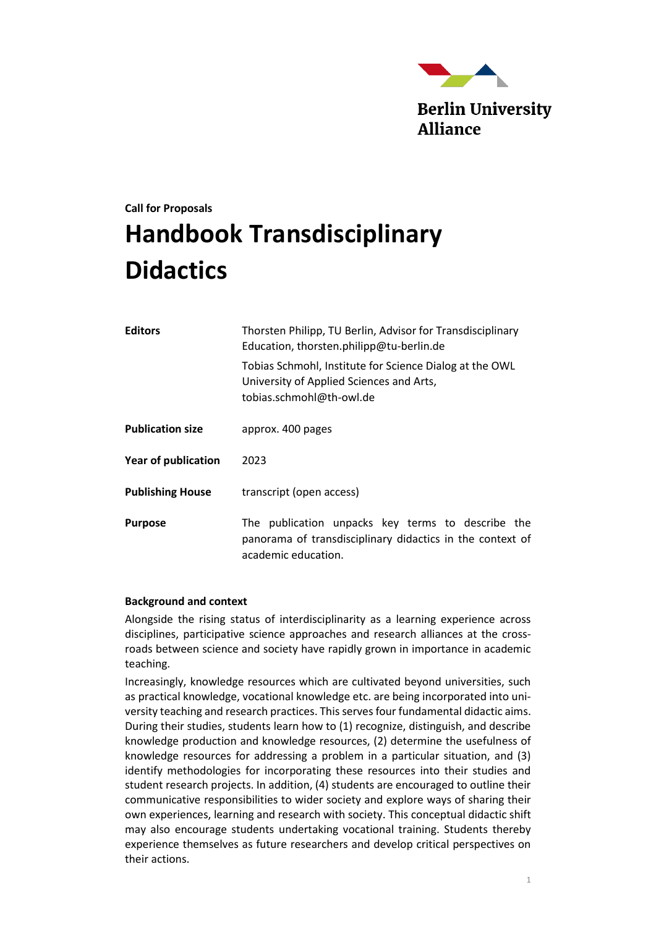

# **Call for Proposals Handbook Transdisciplinary Didactics**

| <b>Editors</b>             | Thorsten Philipp, TU Berlin, Advisor for Transdisciplinary<br>Education, thorsten.philipp@tu-berlin.de<br>Tobias Schmohl, Institute for Science Dialog at the OWL<br>University of Applied Sciences and Arts,<br>tobias.schmohl@th-owl.de |  |  |
|----------------------------|-------------------------------------------------------------------------------------------------------------------------------------------------------------------------------------------------------------------------------------------|--|--|
|                            |                                                                                                                                                                                                                                           |  |  |
| <b>Publication size</b>    | approx. 400 pages                                                                                                                                                                                                                         |  |  |
| <b>Year of publication</b> | 2023                                                                                                                                                                                                                                      |  |  |
| <b>Publishing House</b>    | transcript (open access)                                                                                                                                                                                                                  |  |  |
| <b>Purpose</b>             | The publication unpacks key terms to describe the<br>panorama of transdisciplinary didactics in the context of<br>academic education.                                                                                                     |  |  |

## **Background and context**

Alongside the rising status of interdisciplinarity as a learning experience across disciplines, participative science approaches and research alliances at the crossroads between science and society have rapidly grown in importance in academic teaching.

Increasingly, knowledge resources which are cultivated beyond universities, such as practical knowledge, vocational knowledge etc. are being incorporated into university teaching and research practices. This serves four fundamental didactic aims. During their studies, students learn how to (1) recognize, distinguish, and describe knowledge production and knowledge resources, (2) determine the usefulness of knowledge resources for addressing a problem in a particular situation, and (3) identify methodologies for incorporating these resources into their studies and student research projects. In addition, (4) students are encouraged to outline their communicative responsibilities to wider society and explore ways of sharing their own experiences, learning and research with society. This conceptual didactic shift may also encourage students undertaking vocational training. Students thereby experience themselves as future researchers and develop critical perspectives on their actions.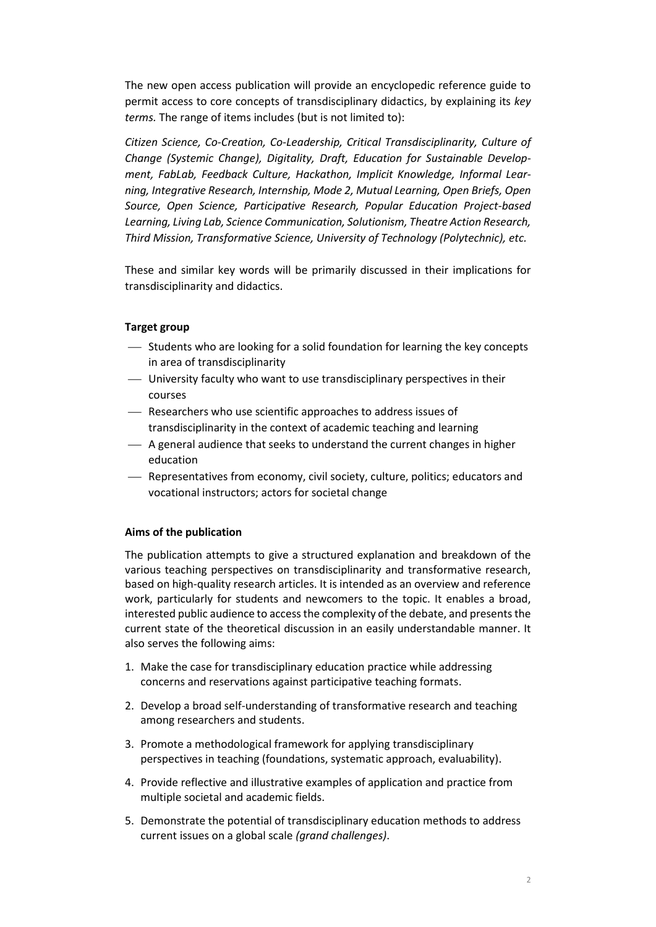The new open access publication will provide an encyclopedic reference guide to permit access to core concepts of transdisciplinary didactics, by explaining its *key terms.* The range of items includes (but is not limited to):

*Citizen Science, Co-Creation, Co-Leadership, Critical Transdisciplinarity, Culture of Change (Systemic Change), Digitality, Draft, Education for Sustainable Development, FabLab, Feedback Culture, Hackathon, Implicit Knowledge, Informal Learning, Integrative Research, Internship, Mode 2, Mutual Learning, Open Briefs, Open Source, Open Science, Participative Research, Popular Education Project-based Learning, Living Lab, Science Communication, Solutionism, Theatre Action Research, Third Mission, Transformative Science, University of Technology (Polytechnic), etc.* 

These and similar key words will be primarily discussed in their implications for transdisciplinarity and didactics.

# **Target group**

- ⎯ Students who are looking for a solid foundation for learning the key concepts in area of transdisciplinarity
- ⎯ University faculty who want to use transdisciplinary perspectives in their courses
- ⎯ Researchers who use scientific approaches to address issues of transdisciplinarity in the context of academic teaching and learning
- A general audience that seeks to understand the current changes in higher education
- ⎯ Representatives from economy, civil society, culture, politics; educators and vocational instructors; actors for societal change

## **Aims of the publication**

The publication attempts to give a structured explanation and breakdown of the various teaching perspectives on transdisciplinarity and transformative research, based on high-quality research articles. It is intended as an overview and reference work, particularly for students and newcomers to the topic. It enables a broad, interested public audience to access the complexity of the debate, and presents the current state of the theoretical discussion in an easily understandable manner. It also serves the following aims:

- 1. Make the case for transdisciplinary education practice while addressing concerns and reservations against participative teaching formats.
- 2. Develop a broad self-understanding of transformative research and teaching among researchers and students.
- 3. Promote a methodological framework for applying transdisciplinary perspectives in teaching (foundations, systematic approach, evaluability).
- 4. Provide reflective and illustrative examples of application and practice from multiple societal and academic fields.
- 5. Demonstrate the potential of transdisciplinary education methods to address current issues on a global scale *(grand challenges)*.